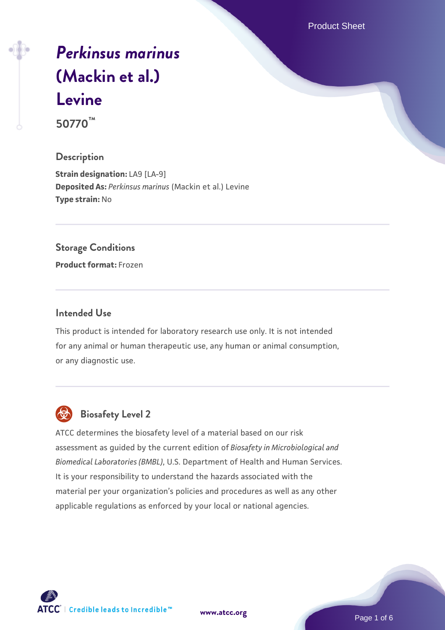Product Sheet

# *[Perkinsus marinus](https://www.atcc.org/products/50770)* **[\(Mackin et al.\)](https://www.atcc.org/products/50770) [Levine](https://www.atcc.org/products/50770)**

**50770™**

# **Description**

**Strain designation: LA9 [LA-9] Deposited As:** *Perkinsus marinus* (Mackin et al.) Levine **Type strain:** No

# **Storage Conditions**

**Product format:** Frozen

# **Intended Use**

This product is intended for laboratory research use only. It is not intended for any animal or human therapeutic use, any human or animal consumption, or any diagnostic use.



# **Biosafety Level 2**

ATCC determines the biosafety level of a material based on our risk assessment as guided by the current edition of *Biosafety in Microbiological and Biomedical Laboratories (BMBL)*, U.S. Department of Health and Human Services. It is your responsibility to understand the hazards associated with the material per your organization's policies and procedures as well as any other applicable regulations as enforced by your local or national agencies.

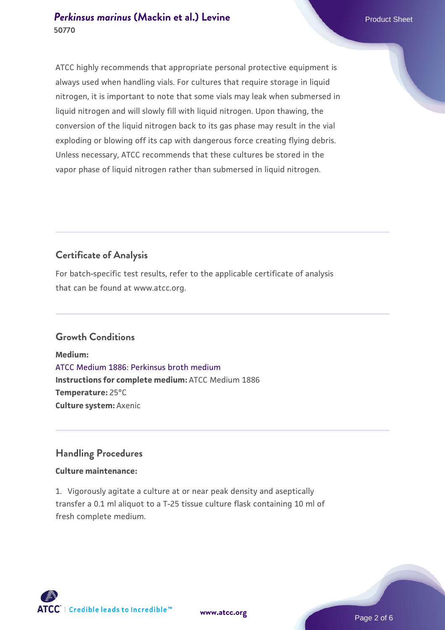# **[Perkinsus marinus](https://www.atcc.org/products/50770) [\(Mackin et al.\) Levine](https://www.atcc.org/products/50770)** Product Sheet **50770**

ATCC highly recommends that appropriate personal protective equipment is always used when handling vials. For cultures that require storage in liquid nitrogen, it is important to note that some vials may leak when submersed in liquid nitrogen and will slowly fill with liquid nitrogen. Upon thawing, the conversion of the liquid nitrogen back to its gas phase may result in the vial exploding or blowing off its cap with dangerous force creating flying debris. Unless necessary, ATCC recommends that these cultures be stored in the vapor phase of liquid nitrogen rather than submersed in liquid nitrogen.

# **Certificate of Analysis**

For batch-specific test results, refer to the applicable certificate of analysis that can be found at www.atcc.org.

# **Growth Conditions**

**Medium:**  [ATCC Medium 1886: Perkinsus broth medium](https://www.atcc.org/-/media/product-assets/documents/microbial-media-formulations/atcc-medium-1886.pdf?rev=3f191fd8ade443aca9e8e4826432baa3) **Instructions for complete medium:** ATCC Medium 1886 **Temperature:** 25°C **Culture system:** Axenic

# **Handling Procedures**

# **Culture maintenance:**

1. Vigorously agitate a culture at or near peak density and aseptically transfer a 0.1 ml aliquot to a T-25 tissue culture flask containing 10 ml of fresh complete medium.



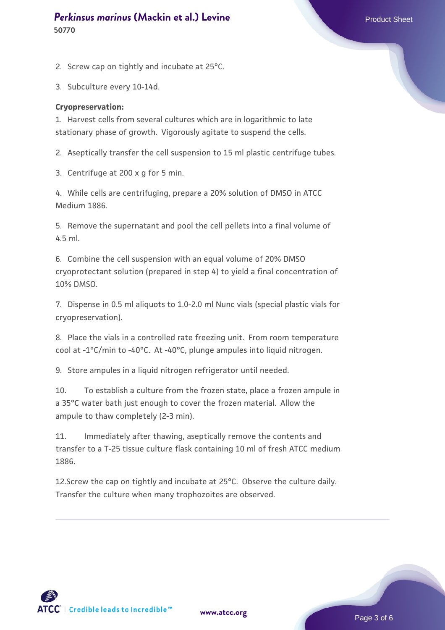# **[Perkinsus marinus](https://www.atcc.org/products/50770) [\(Mackin et al.\) Levine](https://www.atcc.org/products/50770)** Product Sheet **50770**

2. Screw cap on tightly and incubate at 25°C.

3. Subculture every 10-14d.

#### **Cryopreservation:**

1. Harvest cells from several cultures which are in logarithmic to late stationary phase of growth. Vigorously agitate to suspend the cells.

2. Aseptically transfer the cell suspension to 15 ml plastic centrifuge tubes.

3. Centrifuge at 200 x g for 5 min.

4. While cells are centrifuging, prepare a 20% solution of DMSO in ATCC Medium 1886.

5. Remove the supernatant and pool the cell pellets into a final volume of 4.5 ml.

6. Combine the cell suspension with an equal volume of 20% DMSO cryoprotectant solution (prepared in step 4) to yield a final concentration of 10% DMSO.

7. Dispense in 0.5 ml aliquots to 1.0-2.0 ml Nunc vials (special plastic vials for cryopreservation).

8. Place the vials in a controlled rate freezing unit. From room temperature cool at -1°C/min to -40°C. At -40°C, plunge ampules into liquid nitrogen.

9. Store ampules in a liquid nitrogen refrigerator until needed.

10. To establish a culture from the frozen state, place a frozen ampule in a 35°C water bath just enough to cover the frozen material. Allow the ampule to thaw completely (2-3 min).

11. Immediately after thawing, aseptically remove the contents and transfer to a T-25 tissue culture flask containing 10 ml of fresh ATCC medium 1886.

12.Screw the cap on tightly and incubate at 25°C. Observe the culture daily. Transfer the culture when many trophozoites are observed.

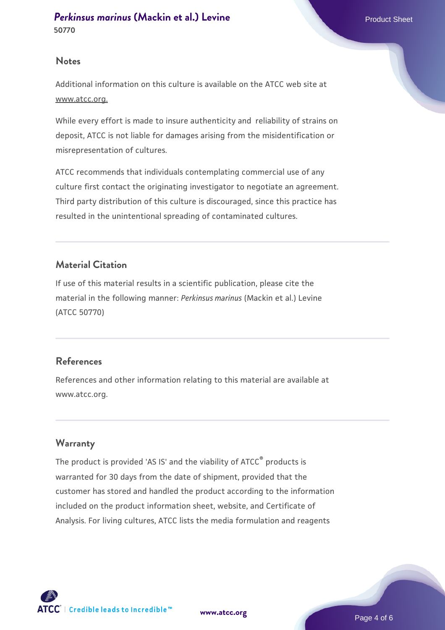### **Notes**

Additional information on this culture is available on the ATCC web site at www.atcc.org.

While every effort is made to insure authenticity and reliability of strains on deposit, ATCC is not liable for damages arising from the misidentification or misrepresentation of cultures.

ATCC recommends that individuals contemplating commercial use of any culture first contact the originating investigator to negotiate an agreement. Third party distribution of this culture is discouraged, since this practice has resulted in the unintentional spreading of contaminated cultures.

# **Material Citation**

If use of this material results in a scientific publication, please cite the material in the following manner: *Perkinsus marinus* (Mackin et al.) Levine (ATCC 50770)

# **References**

References and other information relating to this material are available at www.atcc.org.

# **Warranty**

The product is provided 'AS IS' and the viability of ATCC® products is warranted for 30 days from the date of shipment, provided that the customer has stored and handled the product according to the information included on the product information sheet, website, and Certificate of Analysis. For living cultures, ATCC lists the media formulation and reagents

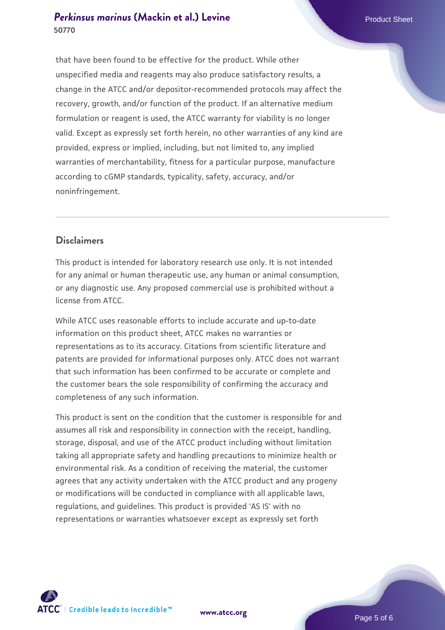# **[Perkinsus marinus](https://www.atcc.org/products/50770) [\(Mackin et al.\) Levine](https://www.atcc.org/products/50770)** Product Sheet **50770**

that have been found to be effective for the product. While other unspecified media and reagents may also produce satisfactory results, a change in the ATCC and/or depositor-recommended protocols may affect the recovery, growth, and/or function of the product. If an alternative medium formulation or reagent is used, the ATCC warranty for viability is no longer valid. Except as expressly set forth herein, no other warranties of any kind are provided, express or implied, including, but not limited to, any implied warranties of merchantability, fitness for a particular purpose, manufacture according to cGMP standards, typicality, safety, accuracy, and/or noninfringement.

# **Disclaimers**

This product is intended for laboratory research use only. It is not intended for any animal or human therapeutic use, any human or animal consumption, or any diagnostic use. Any proposed commercial use is prohibited without a license from ATCC.

While ATCC uses reasonable efforts to include accurate and up-to-date information on this product sheet, ATCC makes no warranties or representations as to its accuracy. Citations from scientific literature and patents are provided for informational purposes only. ATCC does not warrant that such information has been confirmed to be accurate or complete and the customer bears the sole responsibility of confirming the accuracy and completeness of any such information.

This product is sent on the condition that the customer is responsible for and assumes all risk and responsibility in connection with the receipt, handling, storage, disposal, and use of the ATCC product including without limitation taking all appropriate safety and handling precautions to minimize health or environmental risk. As a condition of receiving the material, the customer agrees that any activity undertaken with the ATCC product and any progeny or modifications will be conducted in compliance with all applicable laws, regulations, and guidelines. This product is provided 'AS IS' with no representations or warranties whatsoever except as expressly set forth



**[www.atcc.org](http://www.atcc.org)**

Page 5 of 6